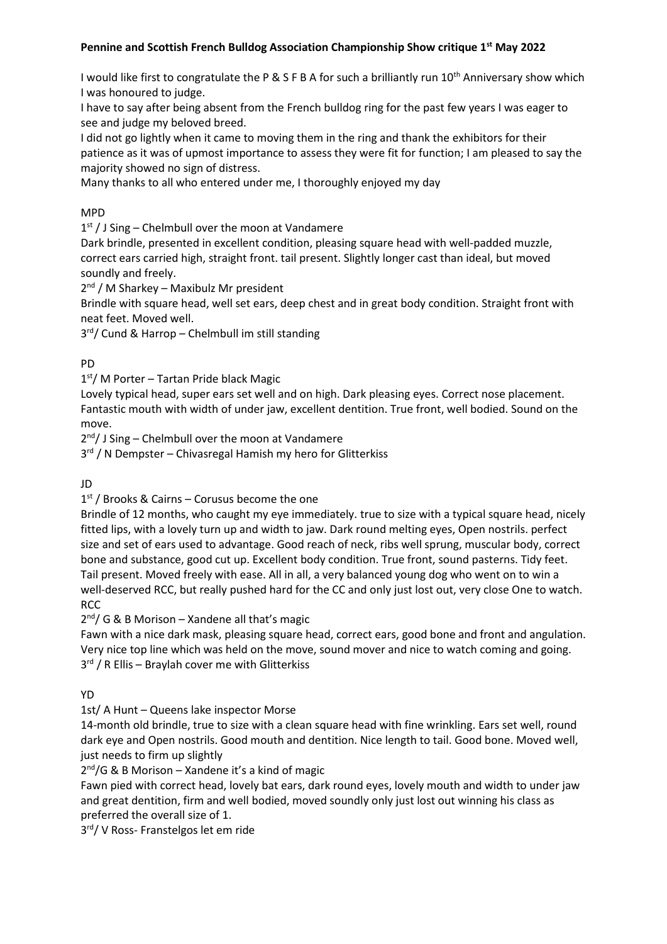### **Pennine and Scottish French Bulldog Association Championship Show critique 1st May 2022**

I would like first to congratulate the P & S F B A for such a brilliantly run  $10^{th}$  Anniversary show which I was honoured to judge.

I have to say after being absent from the French bulldog ring for the past few years I was eager to see and judge my beloved breed.

I did not go lightly when it came to moving them in the ring and thank the exhibitors for their patience as it was of upmost importance to assess they were fit for function; I am pleased to say the majority showed no sign of distress.

Many thanks to all who entered under me, I thoroughly enjoyed my day

#### MPD

1<sup>st</sup> / J Sing – Chelmbull over the moon at Vandamere

Dark brindle, presented in excellent condition, pleasing square head with well-padded muzzle, correct ears carried high, straight front. tail present. Slightly longer cast than ideal, but moved soundly and freely.

2<sup>nd</sup> / M Sharkey - Maxibulz Mr president

Brindle with square head, well set ears, deep chest and in great body condition. Straight front with neat feet. Moved well.

3rd/ Cund & Harrop - Chelmbull im still standing

#### PD

1 st/ M Porter – Tartan Pride black Magic

Lovely typical head, super ears set well and on high. Dark pleasing eyes. Correct nose placement. Fantastic mouth with width of under jaw, excellent dentition. True front, well bodied. Sound on the move.

2<sup>nd</sup>/ J Sing – Chelmbull over the moon at Vandamere

3<sup>rd</sup> / N Dempster - Chivasregal Hamish my hero for Glitterkiss

JD

1 st / Brooks & Cairns – Corusus become the one

Brindle of 12 months, who caught my eye immediately. true to size with a typical square head, nicely fitted lips, with a lovely turn up and width to jaw. Dark round melting eyes, Open nostrils. perfect size and set of ears used to advantage. Good reach of neck, ribs well sprung, muscular body, correct bone and substance, good cut up. Excellent body condition. True front, sound pasterns. Tidy feet. Tail present. Moved freely with ease. All in all, a very balanced young dog who went on to win a well-deserved RCC, but really pushed hard for the CC and only just lost out, very close One to watch. RCC

2<sup>nd</sup>/ G & B Morison – Xandene all that's magic

Fawn with a nice dark mask, pleasing square head, correct ears, good bone and front and angulation. Very nice top line which was held on the move, sound mover and nice to watch coming and going. 3<sup>rd</sup> / R Ellis - Braylah cover me with Glitterkiss

#### YD

1st/ A Hunt – Queens lake inspector Morse

14-month old brindle, true to size with a clean square head with fine wrinkling. Ears set well, round dark eye and Open nostrils. Good mouth and dentition. Nice length to tail. Good bone. Moved well, just needs to firm up slightly

2<sup>nd</sup>/G & B Morison - Xandene it's a kind of magic

Fawn pied with correct head, lovely bat ears, dark round eyes, lovely mouth and width to under jaw and great dentition, firm and well bodied, moved soundly only just lost out winning his class as preferred the overall size of 1.

3rd/ V Ross- Franstelgos let em ride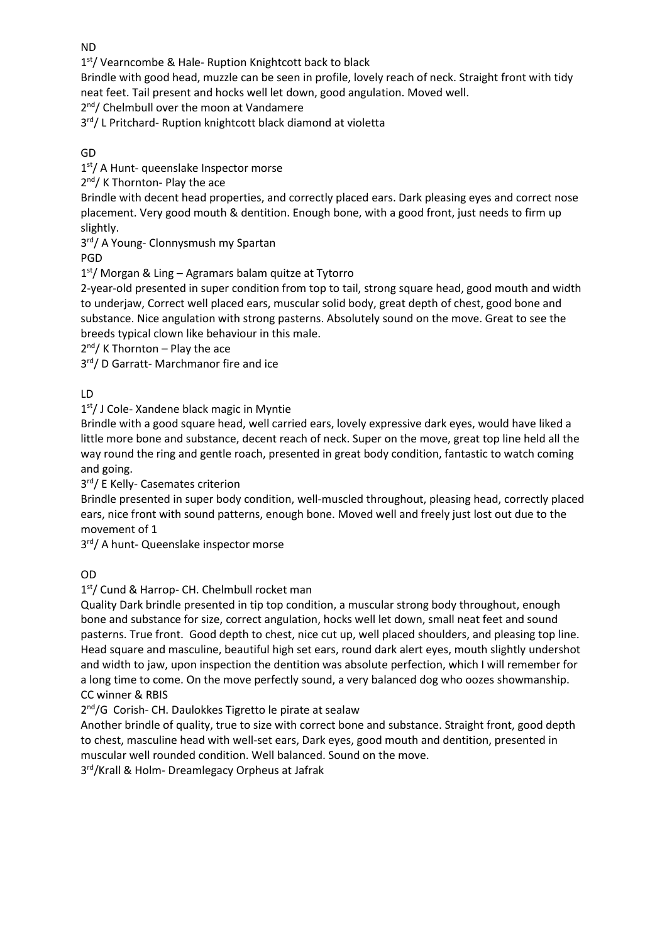ND

1<sup>st</sup>/ Vearncombe & Hale- Ruption Knightcott back to black

Brindle with good head, muzzle can be seen in profile, lovely reach of neck. Straight front with tidy neat feet. Tail present and hocks well let down, good angulation. Moved well.

2<sup>nd</sup>/ Chelmbull over the moon at Vandamere

3rd/ L Pritchard- Ruption knightcott black diamond at violetta

GD

1<sup>st</sup>/ A Hunt- queenslake Inspector morse

2<sup>nd</sup>/ K Thornton- Play the ace

Brindle with decent head properties, and correctly placed ears. Dark pleasing eyes and correct nose placement. Very good mouth & dentition. Enough bone, with a good front, just needs to firm up slightly.

3 rd/ A Young- Clonnysmush my Spartan

PGD

1 st/ Morgan & Ling – Agramars balam quitze at Tytorro

2-year-old presented in super condition from top to tail, strong square head, good mouth and width to underjaw, Correct well placed ears, muscular solid body, great depth of chest, good bone and substance. Nice angulation with strong pasterns. Absolutely sound on the move. Great to see the breeds typical clown like behaviour in this male.

2<sup>nd</sup>/ K Thornton – Play the ace

3rd/ D Garratt- Marchmanor fire and ice

LD

1st/ J Cole- Xandene black magic in Myntie

Brindle with a good square head, well carried ears, lovely expressive dark eyes, would have liked a little more bone and substance, decent reach of neck. Super on the move, great top line held all the way round the ring and gentle roach, presented in great body condition, fantastic to watch coming and going.

3 rd/ E Kelly- Casemates criterion

Brindle presented in super body condition, well-muscled throughout, pleasing head, correctly placed ears, nice front with sound patterns, enough bone. Moved well and freely just lost out due to the movement of 1

3rd/ A hunt- Queenslake inspector morse

OD

1 st/ Cund & Harrop- CH. Chelmbull rocket man

Quality Dark brindle presented in tip top condition, a muscular strong body throughout, enough bone and substance for size, correct angulation, hocks well let down, small neat feet and sound pasterns. True front. Good depth to chest, nice cut up, well placed shoulders, and pleasing top line. Head square and masculine, beautiful high set ears, round dark alert eyes, mouth slightly undershot and width to jaw, upon inspection the dentition was absolute perfection, which I will remember for a long time to come. On the move perfectly sound, a very balanced dog who oozes showmanship. CC winner & RBIS

2<sup>nd</sup>/G Corish- CH. Daulokkes Tigretto le pirate at sealaw

Another brindle of quality, true to size with correct bone and substance. Straight front, good depth to chest, masculine head with well-set ears, Dark eyes, good mouth and dentition, presented in muscular well rounded condition. Well balanced. Sound on the move.

3 rd/Krall & Holm- Dreamlegacy Orpheus at Jafrak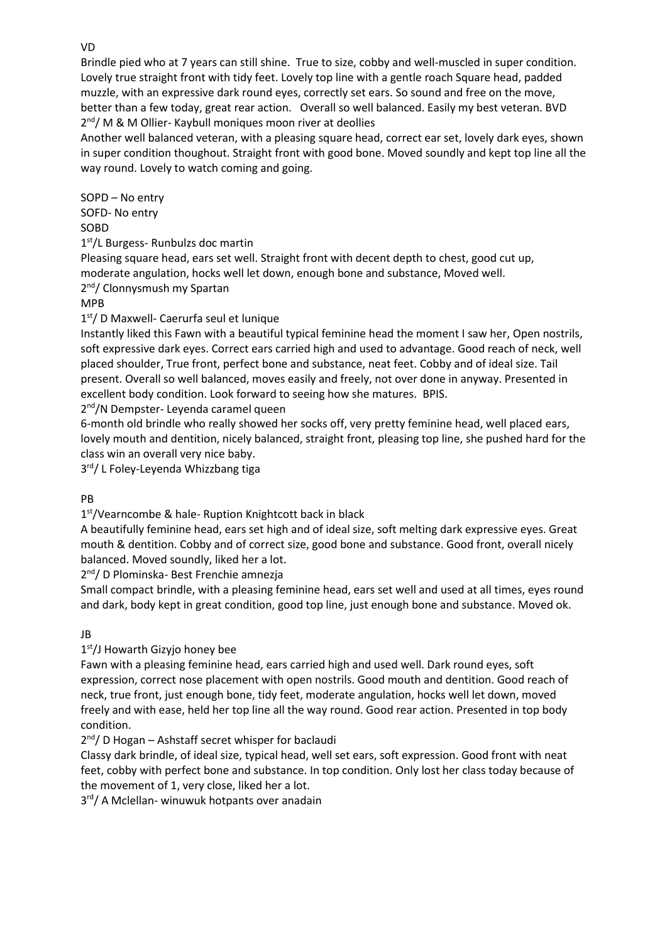Brindle pied who at 7 years can still shine. True to size, cobby and well-muscled in super condition. Lovely true straight front with tidy feet. Lovely top line with a gentle roach Square head, padded muzzle, with an expressive dark round eyes, correctly set ears. So sound and free on the move, better than a few today, great rear action. Overall so well balanced. Easily my best veteran. BVD 2<sup>nd</sup>/ M & M Ollier- Kaybull moniques moon river at deollies

Another well balanced veteran, with a pleasing square head, correct ear set, lovely dark eyes, shown in super condition thoughout. Straight front with good bone. Moved soundly and kept top line all the way round. Lovely to watch coming and going.

SOPD – No entry SOFD- No entry SOBD 1 st/L Burgess- Runbulzs doc martin Pleasing square head, ears set well. Straight front with decent depth to chest, good cut up, moderate angulation, hocks well let down, enough bone and substance, Moved well.

2<sup>nd</sup>/ Clonnysmush my Spartan

MPB

1 st/ D Maxwell- Caerurfa seul et lunique

Instantly liked this Fawn with a beautiful typical feminine head the moment I saw her, Open nostrils, soft expressive dark eyes. Correct ears carried high and used to advantage. Good reach of neck, well placed shoulder, True front, perfect bone and substance, neat feet. Cobby and of ideal size. Tail present. Overall so well balanced, moves easily and freely, not over done in anyway. Presented in excellent body condition. Look forward to seeing how she matures. BPIS.

2<sup>nd</sup>/N Dempster- Leyenda caramel queen

6-month old brindle who really showed her socks off, very pretty feminine head, well placed ears, lovely mouth and dentition, nicely balanced, straight front, pleasing top line, she pushed hard for the class win an overall very nice baby.

3rd/ L Foley-Leyenda Whizzbang tiga

PB

1<sup>st</sup>/Vearncombe & hale- Ruption Knightcott back in black

A beautifully feminine head, ears set high and of ideal size, soft melting dark expressive eyes. Great mouth & dentition. Cobby and of correct size, good bone and substance. Good front, overall nicely balanced. Moved soundly, liked her a lot.

2 nd/ D Plominska- Best Frenchie amnezja

Small compact brindle, with a pleasing feminine head, ears set well and used at all times, eyes round and dark, body kept in great condition, good top line, just enough bone and substance. Moved ok.

JB

1<sup>st</sup>/J Howarth Gizyjo honey bee

Fawn with a pleasing feminine head, ears carried high and used well. Dark round eyes, soft expression, correct nose placement with open nostrils. Good mouth and dentition. Good reach of neck, true front, just enough bone, tidy feet, moderate angulation, hocks well let down, moved freely and with ease, held her top line all the way round. Good rear action. Presented in top body condition.

2<sup>nd</sup>/ D Hogan - Ashstaff secret whisper for baclaudi

Classy dark brindle, of ideal size, typical head, well set ears, soft expression. Good front with neat feet, cobby with perfect bone and substance. In top condition. Only lost her class today because of the movement of 1, very close, liked her a lot.

3<sup>rd</sup>/ A Mclellan- winuwuk hotpants over anadain

VD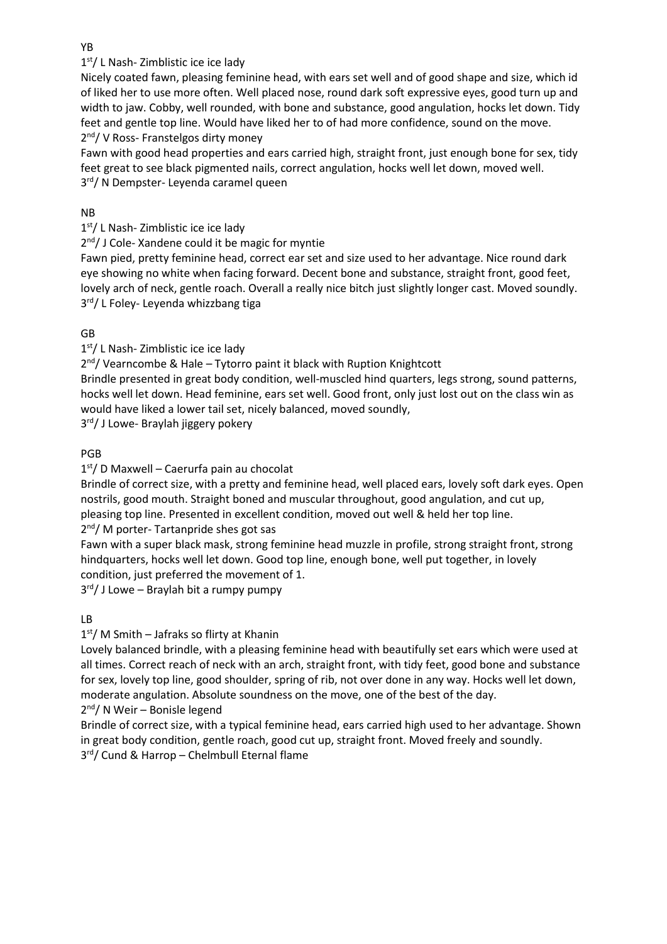1<sup>st</sup>/ L Nash- Zimblistic ice ice lady

Nicely coated fawn, pleasing feminine head, with ears set well and of good shape and size, which id of liked her to use more often. Well placed nose, round dark soft expressive eyes, good turn up and width to jaw. Cobby, well rounded, with bone and substance, good angulation, hocks let down. Tidy feet and gentle top line. Would have liked her to of had more confidence, sound on the move. 2<sup>nd</sup>/ V Ross- Franstelgos dirty money

Fawn with good head properties and ears carried high, straight front, just enough bone for sex, tidy feet great to see black pigmented nails, correct angulation, hocks well let down, moved well. 3 rd/ N Dempster- Leyenda caramel queen

### NB

1<sup>st</sup>/ L Nash- Zimblistic ice ice lady

2<sup>nd</sup>/ J Cole- Xandene could it be magic for myntie

Fawn pied, pretty feminine head, correct ear set and size used to her advantage. Nice round dark eye showing no white when facing forward. Decent bone and substance, straight front, good feet, lovely arch of neck, gentle roach. Overall a really nice bitch just slightly longer cast. Moved soundly. 3<sup>rd</sup>/ L Foley- Leyenda whizzbang tiga

## GB

1<sup>st</sup>/ L Nash- Zimblistic ice ice lady

2<sup>nd</sup>/ Vearncombe & Hale - Tytorro paint it black with Ruption Knightcott

Brindle presented in great body condition, well-muscled hind quarters, legs strong, sound patterns, hocks well let down. Head feminine, ears set well. Good front, only just lost out on the class win as would have liked a lower tail set, nicely balanced, moved soundly,

3<sup>rd</sup>/ J Lowe- Braylah jiggery pokery

## PGB

1 st/ D Maxwell – Caerurfa pain au chocolat

Brindle of correct size, with a pretty and feminine head, well placed ears, lovely soft dark eyes. Open nostrils, good mouth. Straight boned and muscular throughout, good angulation, and cut up, pleasing top line. Presented in excellent condition, moved out well & held her top line. 2<sup>nd</sup>/M porter-Tartanpride shes got sas

Fawn with a super black mask, strong feminine head muzzle in profile, strong straight front, strong hindquarters, hocks well let down. Good top line, enough bone, well put together, in lovely condition, just preferred the movement of 1.

3rd/ J Lowe - Braylah bit a rumpy pumpy

# LB

1<sup>st</sup>/ M Smith - Jafraks so flirty at Khanin

Lovely balanced brindle, with a pleasing feminine head with beautifully set ears which were used at all times. Correct reach of neck with an arch, straight front, with tidy feet, good bone and substance for sex, lovely top line, good shoulder, spring of rib, not over done in any way. Hocks well let down, moderate angulation. Absolute soundness on the move, one of the best of the day. 2<sup>nd</sup>/ N Weir - Bonisle legend

Brindle of correct size, with a typical feminine head, ears carried high used to her advantage. Shown in great body condition, gentle roach, good cut up, straight front. Moved freely and soundly. 3 rd/ Cund & Harrop – Chelmbull Eternal flame

YB